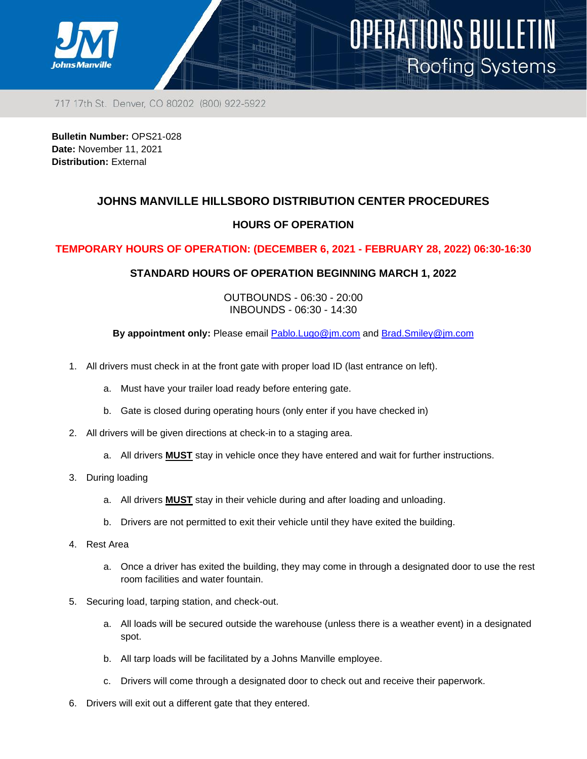

717 17th St. Denver, CO 80202 (800) 922-5922

**Bulletin Number:** OPS21-028 **Date:** November 11, 2021 **Distribution:** External

## **JOHNS MANVILLE HILLSBORO DISTRIBUTION CENTER PROCEDURES**

OPERATIONS BULLETIN

**Roofing Systems** 

### **HOURS OF OPERATION**

#### **TEMPORARY HOURS OF OPERATION: (DECEMBER 6, 2021 - FEBRUARY 28, 2022) 06:30-16:30**

#### **STANDARD HOURS OF OPERATION BEGINNING MARCH 1, 2022**

OUTBOUNDS - 06:30 - 20:00 INBOUNDS - 06:30 - 14:30

**By appointment only:** Please email [Pablo.Lugo@jm.com](mailto:Pablo.Lugo@jm.com) and [Brad.Smiley@jm.com](mailto:Brad.Smiley@jm.com)

- 1. All drivers must check in at the front gate with proper load ID (last entrance on left).
	- a. Must have your trailer load ready before entering gate.
	- b. Gate is closed during operating hours (only enter if you have checked in)
- 2. All drivers will be given directions at check-in to a staging area.
	- a. All drivers **MUST** stay in vehicle once they have entered and wait for further instructions.
- 3. During loading
	- a. All drivers **MUST** stay in their vehicle during and after loading and unloading.
	- b. Drivers are not permitted to exit their vehicle until they have exited the building.
- 4. Rest Area
	- a. Once a driver has exited the building, they may come in through a designated door to use the rest room facilities and water fountain.
- 5. Securing load, tarping station, and check-out.
	- a. All loads will be secured outside the warehouse (unless there is a weather event) in a designated spot.
	- b. All tarp loads will be facilitated by a Johns Manville employee.
	- c. Drivers will come through a designated door to check out and receive their paperwork.
- 6. Drivers will exit out a different gate that they entered.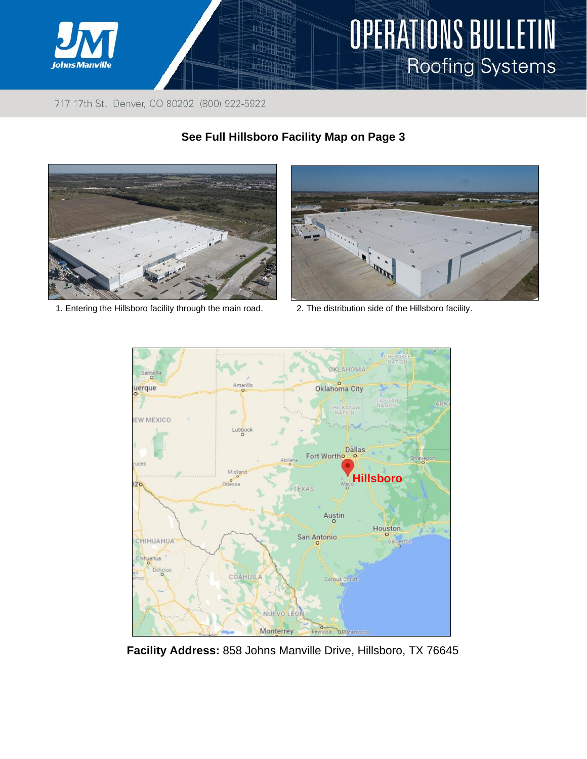

717 17th St. Denver, CO 80202 (800) 922-5922



# **See Full Hillsboro Facility Map on Page 3**



- 1. Entering the Hillsboro facility through the main road. 2. The distribution side of the Hillsboro facility.
	-



**Facility Address:** 858 Johns Manville Drive, Hillsboro, TX 76645